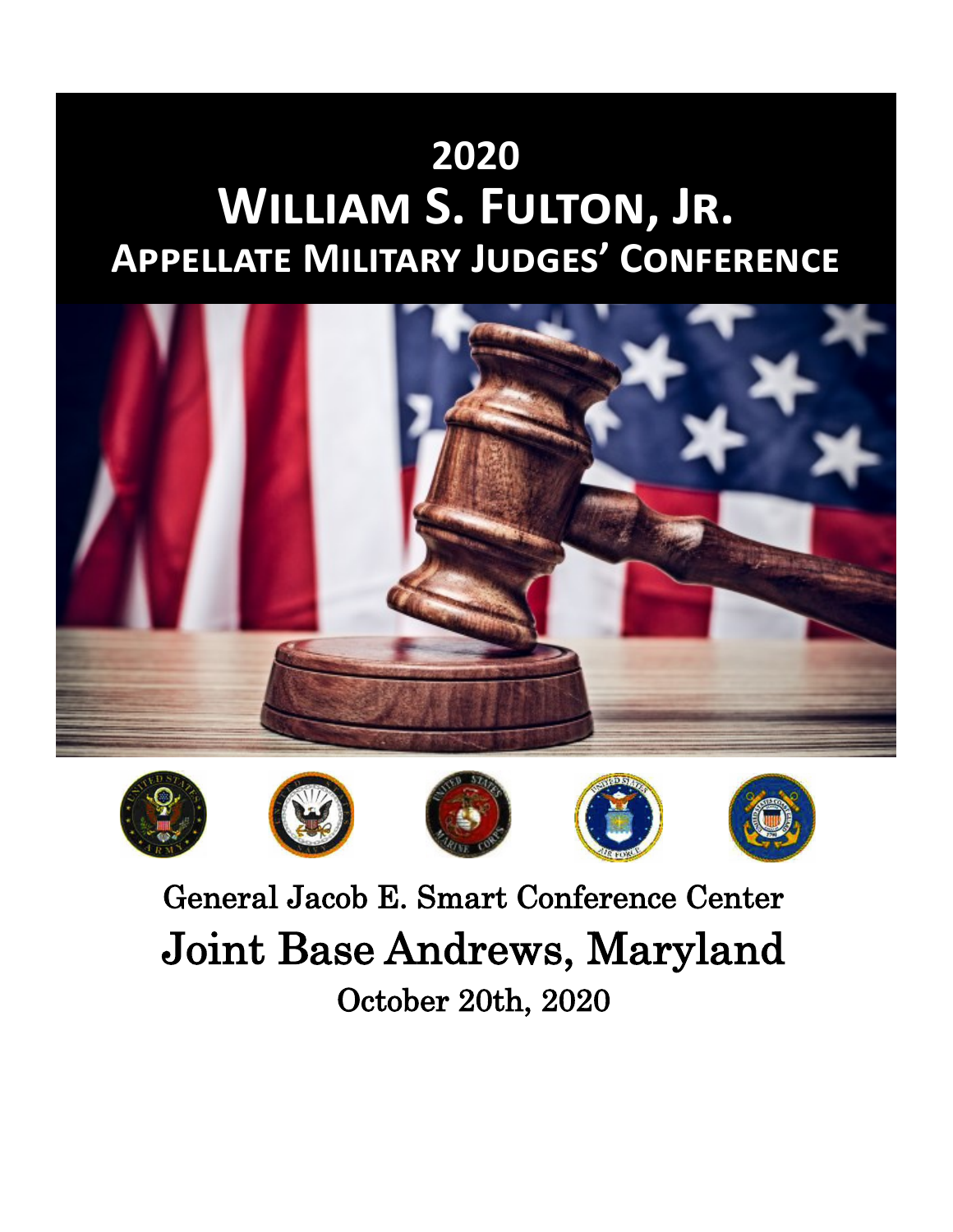# **2020 William S. Fulton, Jr. Appellate Military Judges' Conference**













General Jacob E. Smart Conference Center Joint Base Andrews, Maryland October 20th, 2020